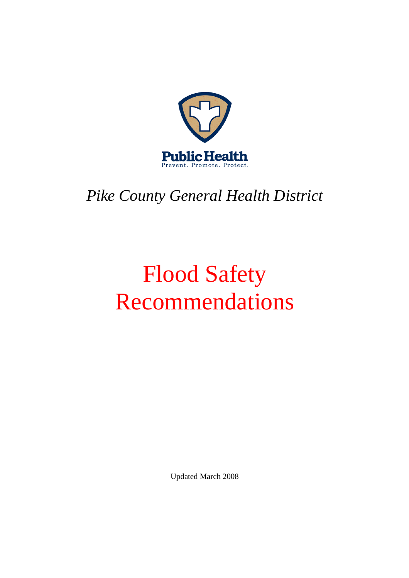

# *Pike County General Health District*

# Flood Safety Recommendations

Updated March 2008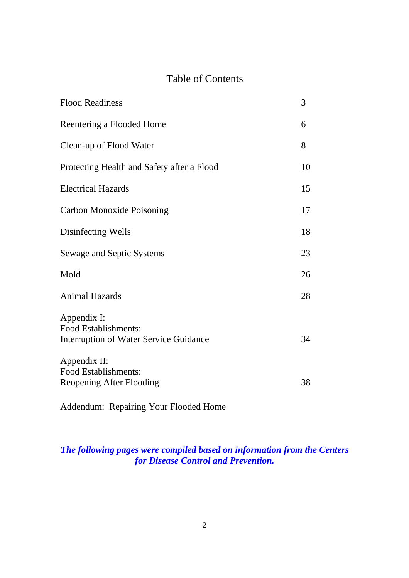# Table of Contents

| <b>Flood Readiness</b>                                                               | 3  |
|--------------------------------------------------------------------------------------|----|
| Reentering a Flooded Home                                                            | 6  |
| Clean-up of Flood Water                                                              | 8  |
| Protecting Health and Safety after a Flood                                           | 10 |
| <b>Electrical Hazards</b>                                                            | 15 |
| Carbon Monoxide Poisoning                                                            | 17 |
| Disinfecting Wells                                                                   | 18 |
| Sewage and Septic Systems                                                            | 23 |
| Mold                                                                                 | 26 |
| <b>Animal Hazards</b>                                                                | 28 |
| Appendix I:<br>Food Establishments:<br><b>Interruption of Water Service Guidance</b> | 34 |
| Appendix II:<br>Food Establishments:<br>Reopening After Flooding                     | 38 |

Addendum: Repairing Your Flooded Home

# *The following pages were compiled based on information from the Centers for Disease Control and Prevention.*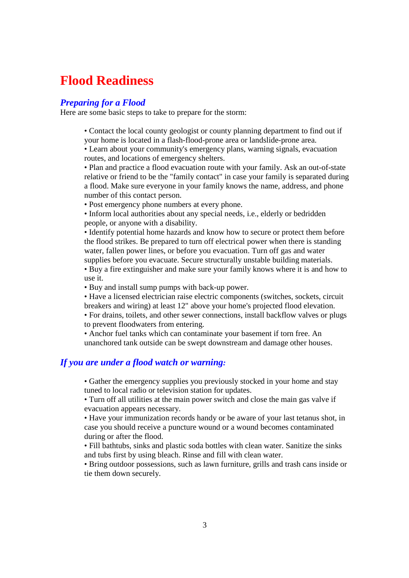# **Flood Readiness**

#### *Preparing for a Flood*

Here are some basic steps to take to prepare for the storm:

• Contact the local county geologist or county planning department to find out if your home is located in a flash-flood-prone area or landslide-prone area.

• Learn about your community's emergency plans, warning signals, evacuation routes, and locations of emergency shelters.

• Plan and practice a flood evacuation route with your family. Ask an out-of-state relative or friend to be the "family contact" in case your family is separated during a flood. Make sure everyone in your family knows the name, address, and phone number of this contact person.

• Post emergency phone numbers at every phone.

• Inform local authorities about any special needs, i.e., elderly or bedridden people, or anyone with a disability.

• Identify potential home hazards and know how to secure or protect them before the flood strikes. Be prepared to turn off electrical power when there is standing water, fallen power lines, or before you evacuation. Turn off gas and water supplies before you evacuate. Secure structurally unstable building materials.

• Buy a fire extinguisher and make sure your family knows where it is and how to use it.

• Buy and install sump pumps with back-up power.

• Have a licensed electrician raise electric components (switches, sockets, circuit breakers and wiring) at least 12" above your home's projected flood elevation.

• For drains, toilets, and other sewer connections, install backflow valves or plugs to prevent floodwaters from entering.

• Anchor fuel tanks which can contaminate your basement if torn free. An unanchored tank outside can be swept downstream and damage other houses.

## *If you are under a flood watch or warning:*

• Gather the emergency supplies you previously stocked in your home and stay tuned to local radio or television station for updates.

• Turn off all utilities at the main power switch and close the main gas valve if evacuation appears necessary.

• Have your immunization records handy or be aware of your last tetanus shot, in case you should receive a puncture wound or a wound becomes contaminated during or after the flood.

• Fill bathtubs, sinks and plastic soda bottles with clean water. Sanitize the sinks and tubs first by using bleach. Rinse and fill with clean water.

• Bring outdoor possessions, such as lawn furniture, grills and trash cans inside or tie them down securely.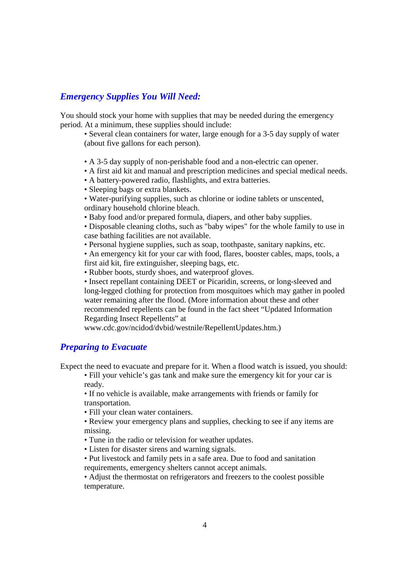## *Emergency Supplies You Will Need:*

You should stock your home with supplies that may be needed during the emergency period. At a minimum, these supplies should include:

• Several clean containers for water, large enough for a 3-5 day supply of water (about five gallons for each person).

- A 3-5 day supply of non-perishable food and a non-electric can opener.
- A first aid kit and manual and prescription medicines and special medical needs.
- A battery-powered radio, flashlights, and extra batteries.
- Sleeping bags or extra blankets.

• Water-purifying supplies, such as chlorine or iodine tablets or unscented, ordinary household chlorine bleach.

• Baby food and/or prepared formula, diapers, and other baby supplies.

• Disposable cleaning cloths, such as "baby wipes" for the whole family to use in case bathing facilities are not available.

• Personal hygiene supplies, such as soap, toothpaste, sanitary napkins, etc.

• An emergency kit for your car with food, flares, booster cables, maps, tools, a first aid kit, fire extinguisher, sleeping bags, etc.

• Rubber boots, sturdy shoes, and waterproof gloves.

• Insect repellant containing DEET or Picaridin, screens, or long-sleeved and long-legged clothing for protection from mosquitoes which may gather in pooled water remaining after the flood. (More information about these and other recommended repellents can be found in the fact sheet "Updated Information Regarding Insect Repellents" at

www.cdc.gov/ncidod/dvbid/westnile/RepellentUpdates.htm.)

### *Preparing to Evacuate*

Expect the need to evacuate and prepare for it. When a flood watch is issued, you should:

• Fill your vehicle's gas tank and make sure the emergency kit for your car is ready.

• If no vehicle is available, make arrangements with friends or family for transportation.

- Fill your clean water containers.
- Review your emergency plans and supplies, checking to see if any items are missing.
- Tune in the radio or television for weather updates.
- Listen for disaster sirens and warning signals.
- Put livestock and family pets in a safe area. Due to food and sanitation requirements, emergency shelters cannot accept animals.

• Adjust the thermostat on refrigerators and freezers to the coolest possible temperature.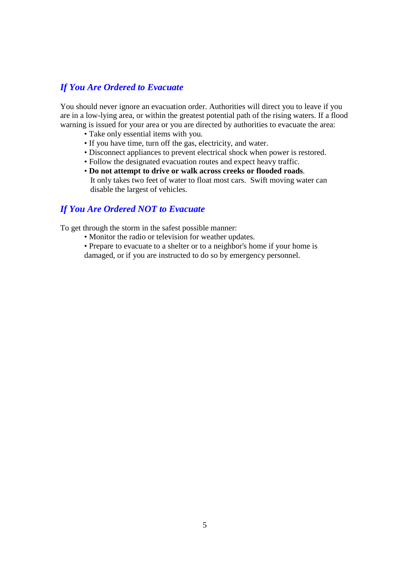## *If You Are Ordered to Evacuate*

You should never ignore an evacuation order. Authorities will direct you to leave if you are in a low-lying area, or within the greatest potential path of the rising waters. If a flood warning is issued for your area or you are directed by authorities to evacuate the area:

- Take only essential items with you.
- If you have time, turn off the gas, electricity, and water.
- Disconnect appliances to prevent electrical shock when power is restored.
- Follow the designated evacuation routes and expect heavy traffic.
- **Do not attempt to drive or walk across creeks or flooded roads**. It only takes two feet of water to float most cars. Swift moving water can disable the largest of vehicles.

# *If You Are Ordered NOT to Evacuate*

To get through the storm in the safest possible manner:

- Monitor the radio or television for weather updates.
- Prepare to evacuate to a shelter or to a neighbor's home if your home is damaged, or if you are instructed to do so by emergency personnel.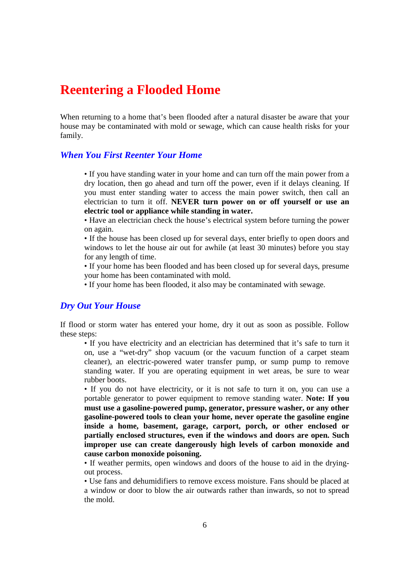# **Reentering a Flooded Home**

When returning to a home that's been flooded after a natural disaster be aware that your house may be contaminated with mold or sewage, which can cause health risks for your family.

## *When You First Reenter Your Home*

• If you have standing water in your home and can turn off the main power from a dry location, then go ahead and turn off the power, even if it delays cleaning. If you must enter standing water to access the main power switch, then call an electrician to turn it off. **NEVER turn power on or off yourself or use an electric tool or appliance while standing in water.**

• Have an electrician check the house's electrical system before turning the power on again.

• If the house has been closed up for several days, enter briefly to open doors and windows to let the house air out for awhile (at least 30 minutes) before you stay for any length of time.

• If your home has been flooded and has been closed up for several days, presume your home has been contaminated with mold.

• If your home has been flooded, it also may be contaminated with sewage.

#### *Dry Out Your House*

If flood or storm water has entered your home, dry it out as soon as possible. Follow these steps:

• If you have electricity and an electrician has determined that it's safe to turn it on, use a "wet-dry" shop vacuum (or the vacuum function of a carpet steam cleaner), an electric-powered water transfer pump, or sump pump to remove standing water. If you are operating equipment in wet areas, be sure to wear rubber boots.

• If you do not have electricity, or it is not safe to turn it on, you can use a portable generator to power equipment to remove standing water. **Note: If you must use a gasoline-powered pump, generator, pressure washer, or any other gasoline-powered tools to clean your home, never operate the gasoline engine inside a home, basement, garage, carport, porch, or other enclosed or partially enclosed structures, even if the windows and doors are open. Such improper use can create dangerously high levels of carbon monoxide and cause carbon monoxide poisoning.**

• If weather permits, open windows and doors of the house to aid in the dryingout process.

• Use fans and dehumidifiers to remove excess moisture. Fans should be placed at a window or door to blow the air outwards rather than inwards, so not to spread the mold.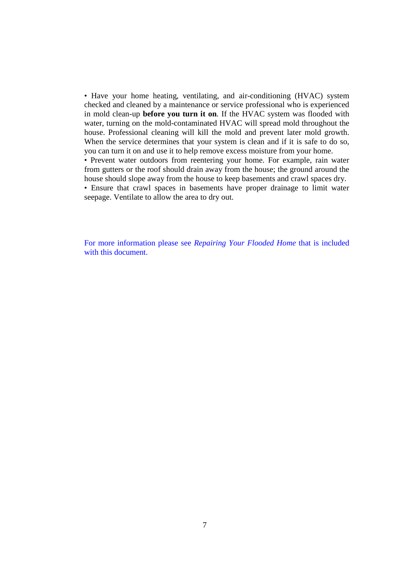• Have your home heating, ventilating, and air-conditioning (HVAC) system checked and cleaned by a maintenance or service professional who is experienced in mold clean-up **before you turn it on**. If the HVAC system was flooded with water, turning on the mold-contaminated HVAC will spread mold throughout the house. Professional cleaning will kill the mold and prevent later mold growth. When the service determines that your system is clean and if it is safe to do so, you can turn it on and use it to help remove excess moisture from your home.

• Prevent water outdoors from reentering your home. For example, rain water from gutters or the roof should drain away from the house; the ground around the house should slope away from the house to keep basements and crawl spaces dry. • Ensure that crawl spaces in basements have proper drainage to limit water seepage. Ventilate to allow the area to dry out.

For more information please see *Repairing Your Flooded Home* that is included with this document.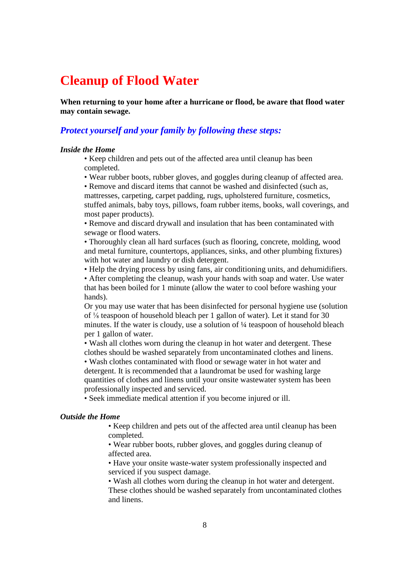# **Cleanup of Flood Water**

**When returning to your home after a hurricane or flood, be aware that flood water may contain sewage.** 

## *Protect yourself and your family by following these steps:*

#### *Inside the Home*

• Keep children and pets out of the affected area until cleanup has been completed.

• Wear rubber boots, rubber gloves, and goggles during cleanup of affected area.

• Remove and discard items that cannot be washed and disinfected (such as, mattresses, carpeting, carpet padding, rugs, upholstered furniture, cosmetics, stuffed animals, baby toys, pillows, foam rubber items, books, wall coverings, and most paper products).

• Remove and discard drywall and insulation that has been contaminated with sewage or flood waters.

• Thoroughly clean all hard surfaces (such as flooring, concrete, molding, wood and metal furniture, countertops, appliances, sinks, and other plumbing fixtures) with hot water and laundry or dish detergent.

• Help the drying process by using fans, air conditioning units, and dehumidifiers. • After completing the cleanup, wash your hands with soap and water. Use water that has been boiled for 1 minute (allow the water to cool before washing your hands).

Or you may use water that has been disinfected for personal hygiene use (solution of ⅛ teaspoon of household bleach per 1 gallon of water). Let it stand for 30 minutes. If the water is cloudy, use a solution of ¼ teaspoon of household bleach per 1 gallon of water.

• Wash all clothes worn during the cleanup in hot water and detergent. These clothes should be washed separately from uncontaminated clothes and linens.

• Wash clothes contaminated with flood or sewage water in hot water and detergent. It is recommended that a laundromat be used for washing large quantities of clothes and linens until your onsite wastewater system has been professionally inspected and serviced.

• Seek immediate medical attention if you become injured or ill.

#### *Outside the Home*

• Keep children and pets out of the affected area until cleanup has been completed.

• Wear rubber boots, rubber gloves, and goggles during cleanup of affected area.

• Have your onsite waste-water system professionally inspected and serviced if you suspect damage.

• Wash all clothes worn during the cleanup in hot water and detergent. These clothes should be washed separately from uncontaminated clothes and linens.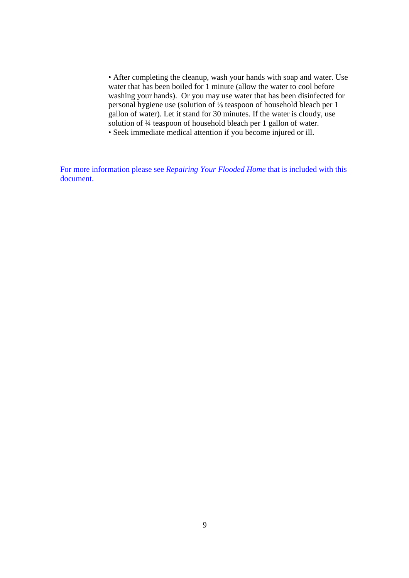• After completing the cleanup, wash your hands with soap and water. Use water that has been boiled for 1 minute (allow the water to cool before washing your hands). Or you may use water that has been disinfected for personal hygiene use (solution of ⅛ teaspoon of household bleach per 1 gallon of water). Let it stand for 30 minutes. If the water is cloudy, use solution of 1/4 teaspoon of household bleach per 1 gallon of water. • Seek immediate medical attention if you become injured or ill.

For more information please see *Repairing Your Flooded Home* that is included with this document.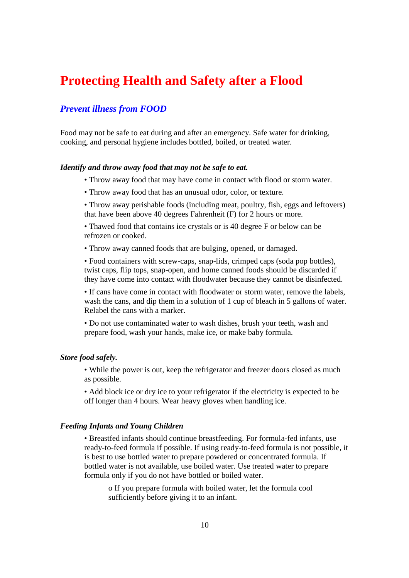# **Protecting Health and Safety after a Flood**

## *Prevent illness from FOOD*

Food may not be safe to eat during and after an emergency. Safe water for drinking, cooking, and personal hygiene includes bottled, boiled, or treated water.

#### *Identify and throw away food that may not be safe to eat.*

- Throw away food that may have come in contact with flood or storm water.
- Throw away food that has an unusual odor, color, or texture.
- Throw away perishable foods (including meat, poultry, fish, eggs and leftovers) that have been above 40 degrees Fahrenheit (F) for 2 hours or more.

• Thawed food that contains ice crystals or is 40 degree F or below can be refrozen or cooked.

• Throw away canned foods that are bulging, opened, or damaged.

• Food containers with screw-caps, snap-lids, crimped caps (soda pop bottles), twist caps, flip tops, snap-open, and home canned foods should be discarded if they have come into contact with floodwater because they cannot be disinfected.

• If cans have come in contact with floodwater or storm water, remove the labels, wash the cans, and dip them in a solution of 1 cup of bleach in 5 gallons of water. Relabel the cans with a marker.

• Do not use contaminated water to wash dishes, brush your teeth, wash and prepare food, wash your hands, make ice, or make baby formula.

#### *Store food safely.*

• While the power is out, keep the refrigerator and freezer doors closed as much as possible.

• Add block ice or dry ice to your refrigerator if the electricity is expected to be off longer than 4 hours. Wear heavy gloves when handling ice.

#### *Feeding Infants and Young Children*

• Breastfed infants should continue breastfeeding. For formula-fed infants, use ready-to-feed formula if possible. If using ready-to-feed formula is not possible, it is best to use bottled water to prepare powdered or concentrated formula. If bottled water is not available, use boiled water. Use treated water to prepare formula only if you do not have bottled or boiled water.

o If you prepare formula with boiled water, let the formula cool sufficiently before giving it to an infant.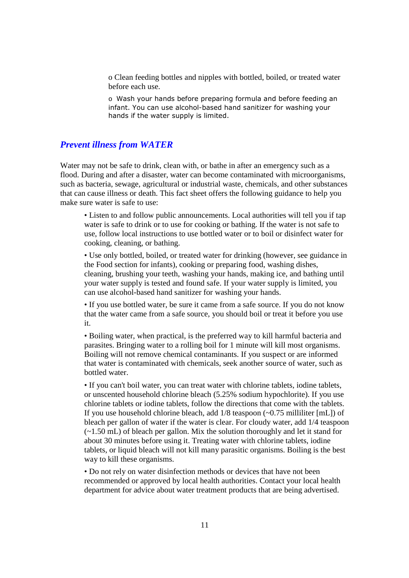o Clean feeding bottles and nipples with bottled, boiled, or treated water before each use.

o Wash your hands before preparing formula and before feeding an infant. You can use alcohol-based hand sanitizer for washing your hands if the water supply is limited.

#### *Prevent illness from WATER*

Water may not be safe to drink, clean with, or bathe in after an emergency such as a flood. During and after a disaster, water can become contaminated with microorganisms, such as bacteria, sewage, agricultural or industrial waste, chemicals, and other substances that can cause illness or death. This fact sheet offers the following guidance to help you make sure water is safe to use:

• Listen to and follow public announcements. Local authorities will tell you if tap water is safe to drink or to use for cooking or bathing. If the water is not safe to use, follow local instructions to use bottled water or to boil or disinfect water for cooking, cleaning, or bathing.

• Use only bottled, boiled, or treated water for drinking (however, see guidance in the Food section for infants), cooking or preparing food, washing dishes, cleaning, brushing your teeth, washing your hands, making ice, and bathing until your water supply is tested and found safe. If your water supply is limited, you can use alcohol-based hand sanitizer for washing your hands.

• If you use bottled water, be sure it came from a safe source. If you do not know that the water came from a safe source, you should boil or treat it before you use it.

• Boiling water, when practical, is the preferred way to kill harmful bacteria and parasites. Bringing water to a rolling boil for 1 minute will kill most organisms. Boiling will not remove chemical contaminants. If you suspect or are informed that water is contaminated with chemicals, seek another source of water, such as bottled water.

• If you can't boil water, you can treat water with chlorine tablets, iodine tablets, or unscented household chlorine bleach (5.25% sodium hypochlorite). If you use chlorine tablets or iodine tablets, follow the directions that come with the tablets. If you use household chlorine bleach, add 1/8 teaspoon (~0.75 milliliter [mL]) of bleach per gallon of water if the water is clear. For cloudy water, add 1/4 teaspoon (~1.50 mL) of bleach per gallon. Mix the solution thoroughly and let it stand for about 30 minutes before using it. Treating water with chlorine tablets, iodine tablets, or liquid bleach will not kill many parasitic organisms. Boiling is the best way to kill these organisms.

• Do not rely on water disinfection methods or devices that have not been recommended or approved by local health authorities. Contact your local health department for advice about water treatment products that are being advertised.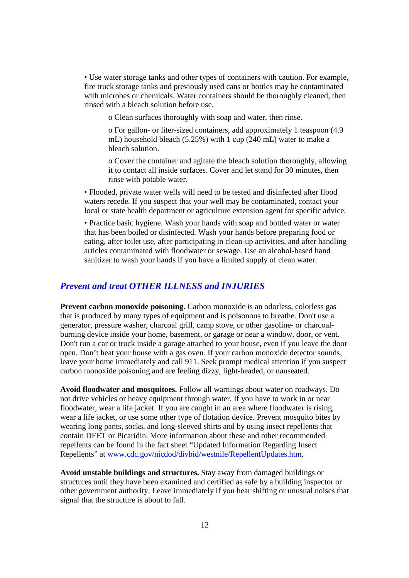• Use water storage tanks and other types of containers with caution. For example, fire truck storage tanks and previously used cans or bottles may be contaminated with microbes or chemicals. Water containers should be thoroughly cleaned, then rinsed with a bleach solution before use.

o Clean surfaces thoroughly with soap and water, then rinse.

o For gallon- or liter-sized containers, add approximately 1 teaspoon (4.9 mL) household bleach (5.25%) with 1 cup (240 mL) water to make a bleach solution.

o Cover the container and agitate the bleach solution thoroughly, allowing it to contact all inside surfaces. Cover and let stand for 30 minutes, then rinse with potable water.

• Flooded, private water wells will need to be tested and disinfected after flood waters recede. If you suspect that your well may be contaminated, contact your local or state health department or agriculture extension agent for specific advice.

• Practice basic hygiene. Wash your hands with soap and bottled water or water that has been boiled or disinfected. Wash your hands before preparing food or eating, after toilet use, after participating in clean-up activities, and after handling articles contaminated with floodwater or sewage. Use an alcohol-based hand sanitizer to wash your hands if you have a limited supply of clean water.

#### *Prevent and treat OTHER ILLNESS and INJURIES*

**Prevent carbon monoxide poisoning.** Carbon monoxide is an odorless, colorless gas that is produced by many types of equipment and is poisonous to breathe. Don't use a generator, pressure washer, charcoal grill, camp stove, or other gasoline- or charcoalburning device inside your home, basement, or garage or near a window, door, or vent. Don't run a car or truck inside a garage attached to your house, even if you leave the door open. Don't heat your house with a gas oven. If your carbon monoxide detector sounds, leave your home immediately and call 911. Seek prompt medical attention if you suspect carbon monoxide poisoning and are feeling dizzy, light-headed, or nauseated.

**Avoid floodwater and mosquitoes.** Follow all warnings about water on roadways. Do not drive vehicles or heavy equipment through water. If you have to work in or near floodwater, wear a life jacket. If you are caught in an area where floodwater is rising, wear a life jacket, or use some other type of flotation device. Prevent mosquito bites by wearing long pants, socks, and long-sleeved shirts and by using insect repellents that contain DEET or Picaridin. More information about these and other recommended repellents can be found in the fact sheet "Updated Information Regarding Insect Repellents" at www.cdc.gov/nicdod/divbid/westnile/RepellentUpdates.htm.

**Avoid unstable buildings and structures.** Stay away from damaged buildings or structures until they have been examined and certified as safe by a building inspector or other government authority. Leave immediately if you hear shifting or unusual noises that signal that the structure is about to fall.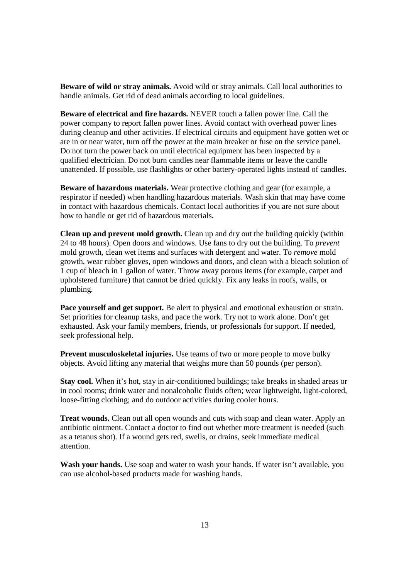**Beware of wild or stray animals.** Avoid wild or stray animals. Call local authorities to handle animals. Get rid of dead animals according to local guidelines.

**Beware of electrical and fire hazards.** NEVER touch a fallen power line. Call the power company to report fallen power lines. Avoid contact with overhead power lines during cleanup and other activities. If electrical circuits and equipment have gotten wet or are in or near water, turn off the power at the main breaker or fuse on the service panel. Do not turn the power back on until electrical equipment has been inspected by a qualified electrician. Do not burn candles near flammable items or leave the candle unattended. If possible, use flashlights or other battery-operated lights instead of candles.

**Beware of hazardous materials.** Wear protective clothing and gear (for example, a respirator if needed) when handling hazardous materials. Wash skin that may have come in contact with hazardous chemicals. Contact local authorities if you are not sure about how to handle or get rid of hazardous materials.

**Clean up and prevent mold growth.** Clean up and dry out the building quickly (within 24 to 48 hours). Open doors and windows. Use fans to dry out the building. To *prevent*  mold growth, clean wet items and surfaces with detergent and water. To *remove* mold growth, wear rubber gloves, open windows and doors, and clean with a bleach solution of 1 cup of bleach in 1 gallon of water. Throw away porous items (for example, carpet and upholstered furniture) that cannot be dried quickly. Fix any leaks in roofs, walls, or plumbing.

**Pace yourself and get support.** Be alert to physical and emotional exhaustion or strain. Set priorities for cleanup tasks, and pace the work. Try not to work alone. Don't get exhausted. Ask your family members, friends, or professionals for support. If needed, seek professional help.

**Prevent musculoskeletal injuries.** Use teams of two or more people to move bulky objects. Avoid lifting any material that weighs more than 50 pounds (per person).

**Stay cool.** When it's hot, stay in air-conditioned buildings; take breaks in shaded areas or in cool rooms; drink water and nonalcoholic fluids often; wear lightweight, light-colored, loose-fitting clothing; and do outdoor activities during cooler hours.

**Treat wounds.** Clean out all open wounds and cuts with soap and clean water. Apply an antibiotic ointment. Contact a doctor to find out whether more treatment is needed (such as a tetanus shot). If a wound gets red, swells, or drains, seek immediate medical attention.

Wash your hands. Use soap and water to wash your hands. If water isn't available, you can use alcohol-based products made for washing hands.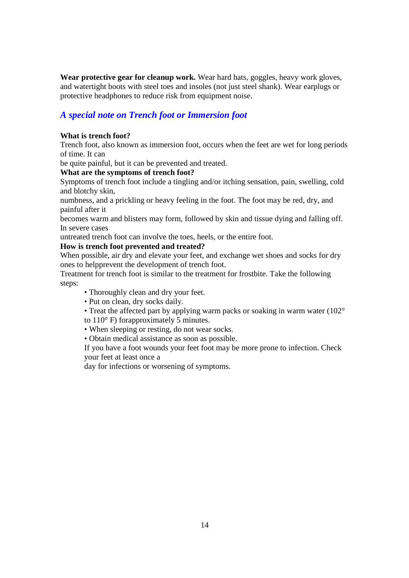**Wear protective gear for cleanup work.** Wear hard hats, goggles, heavy work gloves, and watertight boots with steel toes and insoles (not just steel shank). Wear earplugs or protective headphones to reduce risk from equipment noise.

# *A special note on Trench foot or Immersion foot*

#### **What is trench foot?**

Trench foot, also known as immersion foot, occurs when the feet are wet for long periods of time. It can

be quite painful, but it can be prevented and treated.

#### **What are the symptoms of trench foot?**

Symptoms of trench foot include a tingling and/or itching sensation, pain, swelling, cold and blotchy skin,

numbness, and a prickling or heavy feeling in the foot. The foot may be red, dry, and painful after it

becomes warm and blisters may form, followed by skin and tissue dying and falling off. In severe cases

untreated trench foot can involve the toes, heels, or the entire foot.

#### **How is trench foot prevented and treated?**

When possible, air dry and elevate your feet, and exchange wet shoes and socks for dry ones to helpprevent the development of trench foot.

Treatment for trench foot is similar to the treatment for frostbite. Take the following steps:

- Thoroughly clean and dry your feet.
- Put on clean, dry socks daily.

• Treat the affected part by applying warm packs or soaking in warm water (102°) to 110° F) forapproximately 5 minutes.

• When sleeping or resting, do not wear socks.

• Obtain medical assistance as soon as possible.

If you have a foot wounds your feet foot may be more prone to infection. Check your feet at least once a

day for infections or worsening of symptoms.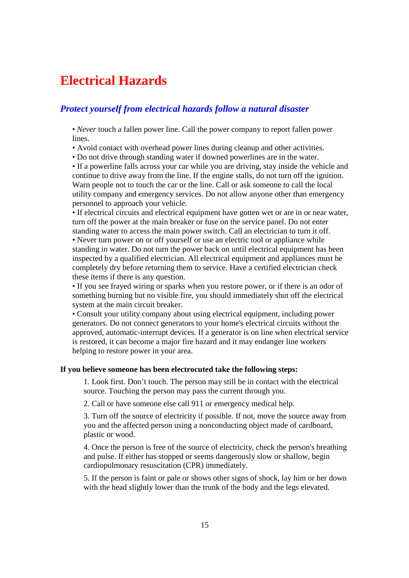# **Electrical Hazards**

## *Protect yourself from electrical hazards follow a natural disaster*

• *Never* touch a fallen power line. Call the power company to report fallen power lines.

- Avoid contact with overhead power lines during cleanup and other activities.
- Do not drive through standing water if downed powerlines are in the water.

• If a powerline falls across your car while you are driving, stay inside the vehicle and continue to drive away from the line. If the engine stalls, do not turn off the ignition. Warn people not to touch the car or the line. Call or ask someone to call the local utility company and emergency services. Do not allow anyone other than emergency personnel to approach your vehicle.

• If electrical circuits and electrical equipment have gotten wet or are in or near water, turn off the power at the main breaker or fuse on the service panel. Do not enter standing water to access the main power switch. Call an electrician to turn it off. • Never turn power on or off yourself or use an electric tool or appliance while standing in water. Do not turn the power back on until electrical equipment has been inspected by a qualified electrician. All electrical equipment and appliances must be completely dry before returning them to service. Have a certified electrician check these items if there is any question.

• If you see frayed wiring or sparks when you restore power, or if there is an odor of something burning but no visible fire, you should immediately shut off the electrical system at the main circuit breaker.

• Consult your utility company about using electrical equipment, including power generators. Do not connect generators to your home's electrical circuits without the approved, automatic-interrupt devices. If a generator is on line when electrical service is restored, it can become a major fire hazard and it may endanger line workers helping to restore power in your area.

#### **If you believe someone has been electrocuted take the following steps:**

1. Look first. Don't touch. The person may still be in contact with the electrical source. Touching the person may pass the current through you.

2. Call or have someone else call 911 or emergency medical help.

3. Turn off the source of electricity if possible. If not, move the source away from you and the affected person using a nonconducting object made of cardboard, plastic or wood.

4. Once the person is free of the source of electricity, check the person's breathing and pulse. If either has stopped or seems dangerously slow or shallow, begin cardiopulmonary resuscitation (CPR) immediately.

5. If the person is faint or pale or shows other signs of shock, lay him or her down with the head slightly lower than the trunk of the body and the legs elevated.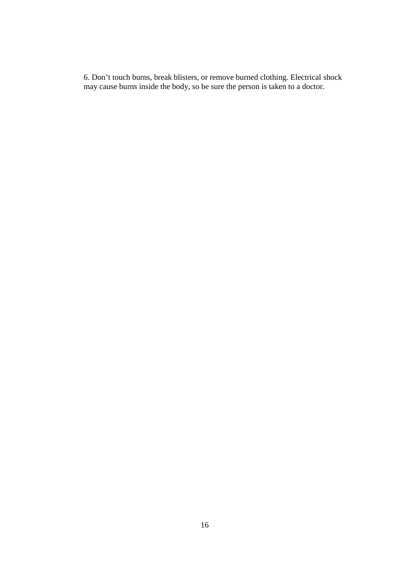6. Don't touch burns, break blisters, or remove burned clothing. Electrical shock may cause burns inside the body, so be sure the person is taken to a doctor.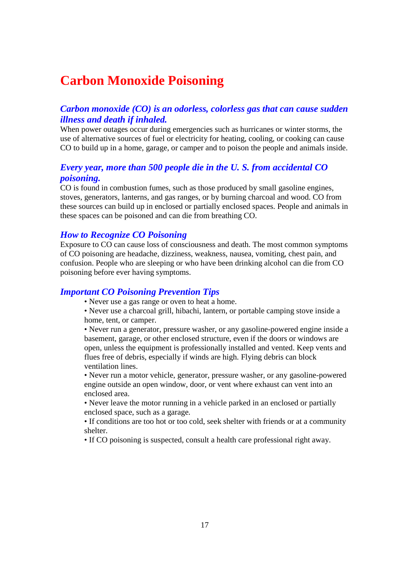# **Carbon Monoxide Poisoning**

## *Carbon monoxide (CO) is an odorless, colorless gas that can cause sudden illness and death if inhaled.*

When power outages occur during emergencies such as hurricanes or winter storms, the use of alternative sources of fuel or electricity for heating, cooling, or cooking can cause CO to build up in a home, garage, or camper and to poison the people and animals inside.

## *Every year, more than 500 people die in the U. S. from accidental CO poisoning.*

CO is found in combustion fumes, such as those produced by small gasoline engines, stoves, generators, lanterns, and gas ranges, or by burning charcoal and wood. CO from these sources can build up in enclosed or partially enclosed spaces. People and animals in these spaces can be poisoned and can die from breathing CO.

#### *How to Recognize CO Poisoning*

Exposure to CO can cause loss of consciousness and death. The most common symptoms of CO poisoning are headache, dizziness, weakness, nausea, vomiting, chest pain, and confusion. People who are sleeping or who have been drinking alcohol can die from CO poisoning before ever having symptoms.

#### *Important CO Poisoning Prevention Tips*

• Never use a gas range or oven to heat a home.

• Never use a charcoal grill, hibachi, lantern, or portable camping stove inside a home, tent, or camper.

• Never run a generator, pressure washer, or any gasoline-powered engine inside a basement, garage, or other enclosed structure, even if the doors or windows are open, unless the equipment is professionally installed and vented. Keep vents and flues free of debris, especially if winds are high. Flying debris can block ventilation lines.

• Never run a motor vehicle, generator, pressure washer, or any gasoline-powered engine outside an open window, door, or vent where exhaust can vent into an enclosed area.

• Never leave the motor running in a vehicle parked in an enclosed or partially enclosed space, such as a garage.

• If conditions are too hot or too cold, seek shelter with friends or at a community shelter.

• If CO poisoning is suspected, consult a health care professional right away.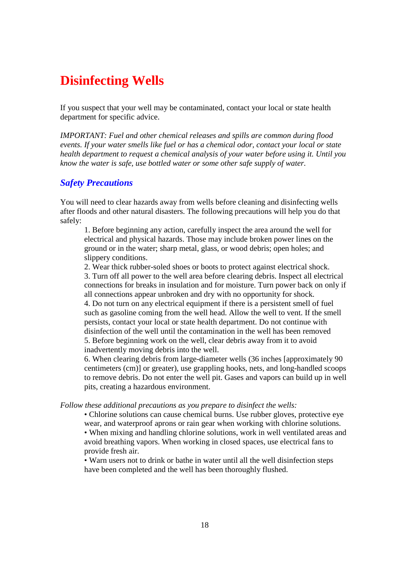# **Disinfecting Wells**

If you suspect that your well may be contaminated, contact your local or state health department for specific advice.

*IMPORTANT: Fuel and other chemical releases and spills are common during flood events. If your water smells like fuel or has a chemical odor, contact your local or state health department to request a chemical analysis of your water before using it. Until you know the water is safe, use bottled water or some other safe supply of water.* 

#### *Safety Precautions*

You will need to clear hazards away from wells before cleaning and disinfecting wells after floods and other natural disasters. The following precautions will help you do that safely:

1. Before beginning any action, carefully inspect the area around the well for electrical and physical hazards. Those may include broken power lines on the ground or in the water; sharp metal, glass, or wood debris; open holes; and slippery conditions.

2. Wear thick rubber-soled shoes or boots to protect against electrical shock. 3. Turn off all power to the well area before clearing debris. Inspect all electrical connections for breaks in insulation and for moisture. Turn power back on only if all connections appear unbroken and dry with no opportunity for shock.

4. Do not turn on any electrical equipment if there is a persistent smell of fuel such as gasoline coming from the well head. Allow the well to vent. If the smell persists, contact your local or state health department. Do not continue with disinfection of the well until the contamination in the well has been removed 5. Before beginning work on the well, clear debris away from it to avoid inadvertently moving debris into the well.

6. When clearing debris from large-diameter wells (36 inches [approximately 90 centimeters (cm)] or greater), use grappling hooks, nets, and long-handled scoops to remove debris. Do not enter the well pit. Gases and vapors can build up in well pits, creating a hazardous environment.

*Follow these additional precautions as you prepare to disinfect the wells:* 

• Chlorine solutions can cause chemical burns. Use rubber gloves, protective eye wear, and waterproof aprons or rain gear when working with chlorine solutions. • When mixing and handling chlorine solutions, work in well ventilated areas and avoid breathing vapors. When working in closed spaces, use electrical fans to provide fresh air.

• Warn users not to drink or bathe in water until all the well disinfection steps have been completed and the well has been thoroughly flushed.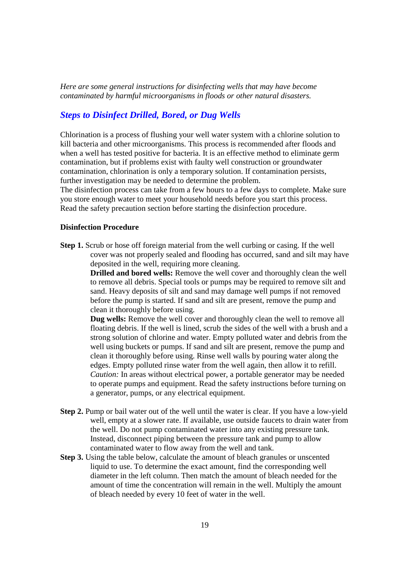*Here are some general instructions for disinfecting wells that may have become contaminated by harmful microorganisms in floods or other natural disasters.* 

#### *Steps to Disinfect Drilled, Bored, or Dug Wells*

Chlorination is a process of flushing your well water system with a chlorine solution to kill bacteria and other microorganisms. This process is recommended after floods and when a well has tested positive for bacteria. It is an effective method to eliminate germ contamination, but if problems exist with faulty well construction or groundwater contamination, chlorination is only a temporary solution. If contamination persists, further investigation may be needed to determine the problem.

The disinfection process can take from a few hours to a few days to complete. Make sure you store enough water to meet your household needs before you start this process. Read the safety precaution section before starting the disinfection procedure.

#### **Disinfection Procedure**

**Step 1.** Scrub or hose off foreign material from the well curbing or casing. If the well cover was not properly sealed and flooding has occurred, sand and silt may have deposited in the well, requiring more cleaning.

> **Drilled and bored wells:** Remove the well cover and thoroughly clean the well to remove all debris. Special tools or pumps may be required to remove silt and sand. Heavy deposits of silt and sand may damage well pumps if not removed before the pump is started. If sand and silt are present, remove the pump and clean it thoroughly before using.

> **Dug wells:** Remove the well cover and thoroughly clean the well to remove all floating debris. If the well is lined, scrub the sides of the well with a brush and a strong solution of chlorine and water. Empty polluted water and debris from the well using buckets or pumps. If sand and silt are present, remove the pump and clean it thoroughly before using. Rinse well walls by pouring water along the edges. Empty polluted rinse water from the well again, then allow it to refill. *Caution:* In areas without electrical power, a portable generator may be needed to operate pumps and equipment. Read the safety instructions before turning on a generator, pumps, or any electrical equipment.

- **Step 2.** Pump or bail water out of the well until the water is clear. If you have a low-yield well, empty at a slower rate. If available, use outside faucets to drain water from the well. Do not pump contaminated water into any existing pressure tank. Instead, disconnect piping between the pressure tank and pump to allow contaminated water to flow away from the well and tank.
- **Step 3.** Using the table below, calculate the amount of bleach granules or unscented liquid to use. To determine the exact amount, find the corresponding well diameter in the left column. Then match the amount of bleach needed for the amount of time the concentration will remain in the well. Multiply the amount of bleach needed by every 10 feet of water in the well.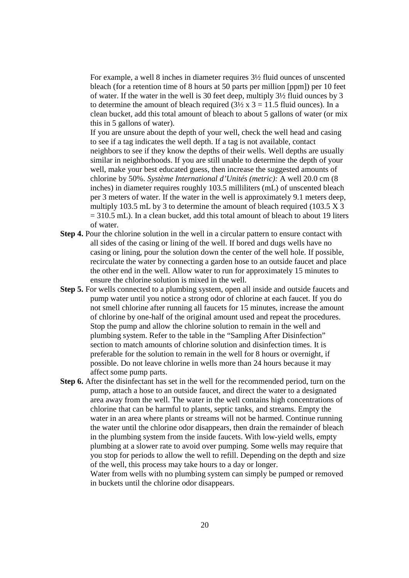For example, a well 8 inches in diameter requires 3½ fluid ounces of unscented bleach (for a retention time of 8 hours at 50 parts per million [ppm]) per 10 feet of water. If the water in the well is 30 feet deep, multiply 3½ fluid ounces by 3 to determine the amount of bleach required  $(3\frac{1}{2} \times 3) = 11.5$  fluid ounces). In a clean bucket, add this total amount of bleach to about 5 gallons of water (or mix this in 5 gallons of water).

If you are unsure about the depth of your well, check the well head and casing to see if a tag indicates the well depth. If a tag is not available, contact neighbors to see if they know the depths of their wells. Well depths are usually similar in neighborhoods. If you are still unable to determine the depth of your well, make your best educated guess, then increase the suggested amounts of chlorine by 50%. *Système International d'Unités (metric):* A well 20.0 cm (8 inches) in diameter requires roughly 103.5 milliliters (mL) of unscented bleach per 3 meters of water. If the water in the well is approximately 9.1 meters deep, multiply 103.5 mL by 3 to determine the amount of bleach required (103.5 X 3  $= 310.5$  mL). In a clean bucket, add this total amount of bleach to about 19 liters of water.

- **Step 4.** Pour the chlorine solution in the well in a circular pattern to ensure contact with all sides of the casing or lining of the well. If bored and dugs wells have no casing or lining, pour the solution down the center of the well hole. If possible, recirculate the water by connecting a garden hose to an outside faucet and place the other end in the well. Allow water to run for approximately 15 minutes to ensure the chlorine solution is mixed in the well.
- **Step 5.** For wells connected to a plumbing system, open all inside and outside faucets and pump water until you notice a strong odor of chlorine at each faucet. If you do not smell chlorine after running all faucets for 15 minutes, increase the amount of chlorine by one-half of the original amount used and repeat the procedures. Stop the pump and allow the chlorine solution to remain in the well and plumbing system. Refer to the table in the "Sampling After Disinfection" section to match amounts of chlorine solution and disinfection times. It is preferable for the solution to remain in the well for 8 hours or overnight, if possible. Do not leave chlorine in wells more than 24 hours because it may affect some pump parts.
- **Step 6.** After the disinfectant has set in the well for the recommended period, turn on the pump, attach a hose to an outside faucet, and direct the water to a designated area away from the well. The water in the well contains high concentrations of chlorine that can be harmful to plants, septic tanks, and streams. Empty the water in an area where plants or streams will not be harmed. Continue running the water until the chlorine odor disappears, then drain the remainder of bleach in the plumbing system from the inside faucets. With low-yield wells, empty plumbing at a slower rate to avoid over pumping. Some wells may require that you stop for periods to allow the well to refill. Depending on the depth and size of the well, this process may take hours to a day or longer.

Water from wells with no plumbing system can simply be pumped or removed in buckets until the chlorine odor disappears.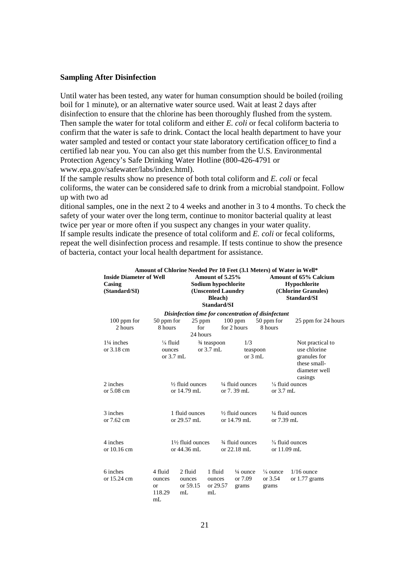#### **Sampling After Disinfection**

Until water has been tested, any water for human consumption should be boiled (roiling boil for 1 minute), or an alternative water source used. Wait at least 2 days after disinfection to ensure that the chlorine has been thoroughly flushed from the system. Then sample the water for total coliform and either *E. coli* or fecal coliform bacteria to confirm that the water is safe to drink. Contact the local health department to have your water sampled and tested or contact your state laboratory certification officer to find a certified lab near you. You can also get this number from the U.S. Environmental Protection Agency's Safe Drinking Water Hotline (800-426-4791 or www.epa.gov/safewater/labs/index.html).

If the sample results show no presence of both total coliform and *E. coli* or fecal coliforms, the water can be considered safe to drink from a microbial standpoint. Follow up with two ad

ditional samples, one in the next 2 to 4 weeks and another in 3 to 4 months. To check the safety of your water over the long term, continue to monitor bacterial quality at least twice per year or more often if you suspect any changes in your water quality. If sample results indicate the presence of total coliform and *E. coli* or fecal coliforms, repeat the well disinfection process and resample. If tests continue to show the presence of bacteria, contact your local health department for assistance.

| Amount of Chlorine Needed Per 10 Feet (3.1 Meters) of Water in Well* |                                                |                                                                                                |                                                     |                                                         |                                                                                           |                                                                              |                                                                                              |  |  |  |
|----------------------------------------------------------------------|------------------------------------------------|------------------------------------------------------------------------------------------------|-----------------------------------------------------|---------------------------------------------------------|-------------------------------------------------------------------------------------------|------------------------------------------------------------------------------|----------------------------------------------------------------------------------------------|--|--|--|
| <b>Inside Diameter of Well</b><br>Casing<br>(Standard/SI)            |                                                | Amount of 5.25%<br>Sodium hypochlorite<br>(Unscented Laundry<br><b>Bleach</b> )<br>Standard/SI |                                                     |                                                         | <b>Amount of 65% Calcium</b><br><b>Hypochlorite</b><br>(Chlorine Granules)<br>Standard/SI |                                                                              |                                                                                              |  |  |  |
| $100$ ppm for<br>2 hours                                             | 50 ppm for<br>8 hours                          | 25 ppm<br>for<br>24 hours                                                                      |                                                     |                                                         | $100$ ppm<br>for 2 hours                                                                  | Disinfection time for concentration of disinfectant<br>50 ppm for<br>8 hours | 25 ppm for 24 hours                                                                          |  |  |  |
| $1\frac{1}{4}$ inches<br>or 3.18 cm                                  | $\frac{1}{8}$ fluid<br>ounces<br>or $3.7$ mL   |                                                                                                | <sup>3</sup> / <sub>4</sub> teaspoon<br>or $3.7$ mL |                                                         | 1/3<br>teaspoon<br>or $3 \text{ mL}$ .                                                    |                                                                              | Not practical to<br>use chlorine<br>granules for<br>these small-<br>diameter well<br>casings |  |  |  |
| 2 inches<br>or $5.08 \text{ cm}$                                     | $\frac{1}{2}$ fluid ounces<br>or 14.79 mL      |                                                                                                |                                                     | 1/4 fluid ounces<br>or 7.39 mL                          |                                                                                           |                                                                              | 1/ <sub>8</sub> fluid ounces<br>or $3.7$ mL                                                  |  |  |  |
| 3 inches<br>or 7.62 cm                                               | 1 fluid ounces<br>or 29.57 mL                  |                                                                                                |                                                     | $\frac{1}{2}$ fluid ounces<br>or 14.79 mL               |                                                                                           |                                                                              | 1/4 fluid ounces<br>or 7.39 mL                                                               |  |  |  |
| 4 inches<br>or 10.16 cm                                              | $1\frac{1}{2}$ fluid ounces<br>or 44.36 mL     |                                                                                                |                                                     | <sup>3</sup> / <sub>4</sub> fluid ounces<br>or 22.18 mL |                                                                                           |                                                                              | $\frac{3}{8}$ fluid ounces<br>or $11.09$ mL                                                  |  |  |  |
| 6 inches<br>or 15.24 cm                                              | 4 fluid<br>ounces<br><b>or</b><br>118.29<br>mL | 2 fluid<br>ounces<br>or 59.15<br>mL                                                            | 1 fluid<br>ounces<br>or 29.57<br>mL                 |                                                         | $\frac{1}{4}$ ounce<br>or 7.09<br>grams                                                   | $\frac{1}{8}$ ounce<br>or 3.54<br>grams                                      | $1/16$ ounce<br>or $1.77$ grams                                                              |  |  |  |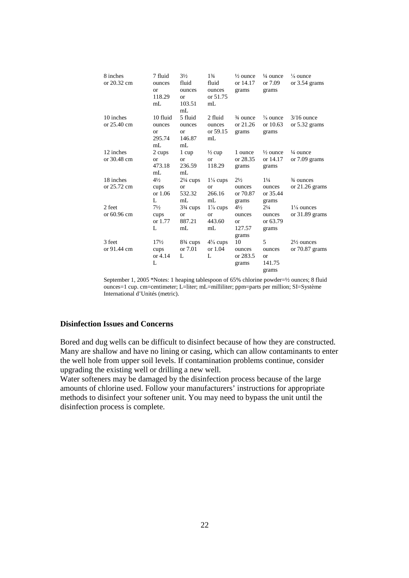| 8 inches<br>or 20.32 cm  | 7 fluid<br>ounces<br><b>or</b><br>118.29<br>mL  | $3\frac{1}{2}$<br>fluid<br>ounces<br>$\alpha$<br>103.51<br>mL | $1\frac{3}{4}$<br>fluid<br>ounces<br>or 51.75<br>mL | $\frac{1}{2}$ ounce<br>or 14.17<br>grams                 | $\frac{1}{4}$ ounce<br>or 7.09<br>grams       | $\frac{1}{8}$ ounce<br>or 3.54 grams      |
|--------------------------|-------------------------------------------------|---------------------------------------------------------------|-----------------------------------------------------|----------------------------------------------------------|-----------------------------------------------|-------------------------------------------|
| 10 inches<br>or 25.40 cm | 10 fluid<br>ounces<br><b>or</b><br>295.74<br>mL | 5 fluid<br>ounces<br><b>or</b><br>146.87<br>mL                | 2 fluid<br>ounces<br>or 59.15<br>mL                 | $\frac{3}{4}$ ounce<br>or 21.26<br>grams                 | $\frac{3}{8}$ ounce<br>or 10.63<br>grams      | $3/16$ ounce<br>or 5.32 grams             |
| 12 inches<br>or 30.48 cm | 2 cups<br><sub>or</sub><br>473.18<br>mL         | 1 cup<br><b>or</b><br>236.59<br>mL                            | $\frac{1}{2}$ cup<br>or<br>118.29                   | 1 ounce<br>or 28.35<br>grams                             | $\frac{1}{2}$ ounce<br>or 14.17<br>grams      | $\frac{1}{4}$ ounce<br>or $7.09$ grams    |
| 18 inches<br>or 25.72 cm | $4\frac{1}{2}$<br>cups<br>or 1.06<br>L          | $2\frac{1}{4}$ cups<br><b>or</b><br>532.32<br>mL              | $1\frac{1}{8}$ cups<br><b>or</b><br>266.16<br>mL    | $2\frac{1}{2}$<br>ounces<br>or 70.87<br>grams            | $1\frac{1}{4}$<br>ounces<br>or 35.44<br>grams | 3/4 ounces<br>or $21.26$ grams            |
| 2 feet<br>or 60.96 cm    | $7\frac{1}{2}$<br>cups<br>or 1.77<br>L          | $3\frac{3}{4}$ cups<br><b>or</b><br>887.21<br>mL              | $1\%$ cups<br><b>or</b><br>443.60<br>mL             | $4\frac{1}{2}$<br>ounces<br><b>or</b><br>127.57<br>grams | $2\frac{1}{4}$<br>ounces<br>or 63.79<br>grams | $1\frac{1}{8}$ ounces<br>or $31.89$ grams |
| 3 feet<br>or 91.44 cm    | $17\frac{1}{2}$<br>cups<br>or 4.14<br>L         | $8\frac{3}{4}$ cups<br>or 7.01<br>L                           | $4\frac{3}{8}$ cups<br>or 1.04<br>L                 | 10<br>ounces<br>or 283.5<br>grams                        | 5<br>ounces<br><b>or</b><br>141.75<br>grams   | $2\frac{1}{2}$ ounces<br>or $70.87$ grams |

September 1, 2005 \*Notes: 1 heaping tablespoon of 65% chlorine powder=½ ounces; 8 fluid ounces=1 cup. cm=centimeter; L=liter; mL=milliliter; ppm=parts per million; SI=Système International d'Unités (metric).

#### **Disinfection Issues and Concerns**

Bored and dug wells can be difficult to disinfect because of how they are constructed. Many are shallow and have no lining or casing, which can allow contaminants to enter the well hole from upper soil levels. If contamination problems continue, consider upgrading the existing well or drilling a new well.

Water softeners may be damaged by the disinfection process because of the large amounts of chlorine used. Follow your manufacturers' instructions for appropriate methods to disinfect your softener unit. You may need to bypass the unit until the disinfection process is complete.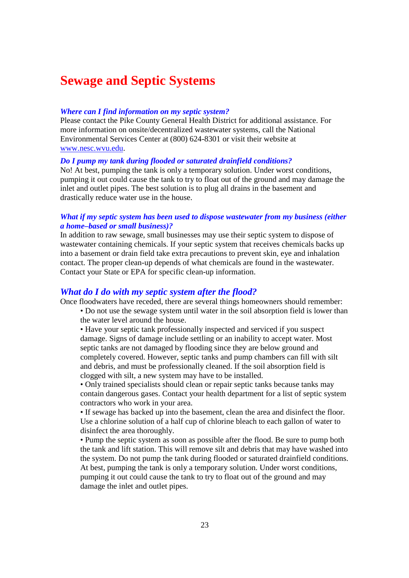# **Sewage and Septic Systems**

#### *Where can I find information on my septic system?*

Please contact the Pike County General Health District for additional assistance. For more information on onsite/decentralized wastewater systems, call the National Environmental Services Center at (800) 624-8301 or visit their website at www.nesc.wvu.edu.

#### *Do I pump my tank during flooded or saturated drainfield conditions?*

No! At best, pumping the tank is only a temporary solution. Under worst conditions, pumping it out could cause the tank to try to float out of the ground and may damage the inlet and outlet pipes. The best solution is to plug all drains in the basement and drastically reduce water use in the house.

#### *What if my septic system has been used to dispose wastewater from my business (either a home–based or small business)?*

In addition to raw sewage, small businesses may use their septic system to dispose of wastewater containing chemicals. If your septic system that receives chemicals backs up into a basement or drain field take extra precautions to prevent skin, eye and inhalation contact. The proper clean-up depends of what chemicals are found in the wastewater. Contact your State or EPA for specific clean-up information.

#### *What do I do with my septic system after the flood?*

Once floodwaters have receded, there are several things homeowners should remember:

• Do not use the sewage system until water in the soil absorption field is lower than the water level around the house.

• Have your septic tank professionally inspected and serviced if you suspect damage. Signs of damage include settling or an inability to accept water. Most septic tanks are not damaged by flooding since they are below ground and completely covered. However, septic tanks and pump chambers can fill with silt and debris, and must be professionally cleaned. If the soil absorption field is clogged with silt, a new system may have to be installed.

• Only trained specialists should clean or repair septic tanks because tanks may contain dangerous gases. Contact your health department for a list of septic system contractors who work in your area.

• If sewage has backed up into the basement, clean the area and disinfect the floor. Use a chlorine solution of a half cup of chlorine bleach to each gallon of water to disinfect the area thoroughly.

• Pump the septic system as soon as possible after the flood. Be sure to pump both the tank and lift station. This will remove silt and debris that may have washed into the system. Do not pump the tank during flooded or saturated drainfield conditions. At best, pumping the tank is only a temporary solution. Under worst conditions, pumping it out could cause the tank to try to float out of the ground and may damage the inlet and outlet pipes.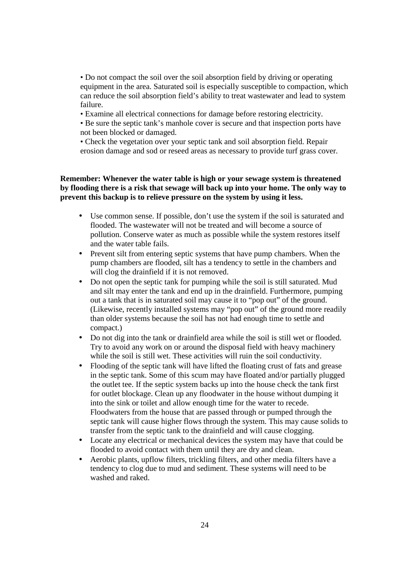• Do not compact the soil over the soil absorption field by driving or operating equipment in the area. Saturated soil is especially susceptible to compaction, which can reduce the soil absorption field's ability to treat wastewater and lead to system failure.

• Examine all electrical connections for damage before restoring electricity.

• Be sure the septic tank's manhole cover is secure and that inspection ports have not been blocked or damaged.

• Check the vegetation over your septic tank and soil absorption field. Repair erosion damage and sod or reseed areas as necessary to provide turf grass cover.

#### **Remember: Whenever the water table is high or your sewage system is threatened by flooding there is a risk that sewage will back up into your home. The only way to prevent this backup is to relieve pressure on the system by using it less.**

- Use common sense. If possible, don't use the system if the soil is saturated and flooded. The wastewater will not be treated and will become a source of pollution. Conserve water as much as possible while the system restores itself and the water table fails.
- Prevent silt from entering septic systems that have pump chambers. When the pump chambers are flooded, silt has a tendency to settle in the chambers and will clog the drainfield if it is not removed.
- Do not open the septic tank for pumping while the soil is still saturated. Mud and silt may enter the tank and end up in the drainfield. Furthermore, pumping out a tank that is in saturated soil may cause it to "pop out" of the ground. (Likewise, recently installed systems may "pop out" of the ground more readily than older systems because the soil has not had enough time to settle and compact.)
- Do not dig into the tank or drainfield area while the soil is still wet or flooded. Try to avoid any work on or around the disposal field with heavy machinery while the soil is still wet. These activities will ruin the soil conductivity.
- Flooding of the septic tank will have lifted the floating crust of fats and grease in the septic tank. Some of this scum may have floated and/or partially plugged the outlet tee. If the septic system backs up into the house check the tank first for outlet blockage. Clean up any floodwater in the house without dumping it into the sink or toilet and allow enough time for the water to recede. Floodwaters from the house that are passed through or pumped through the septic tank will cause higher flows through the system. This may cause solids to transfer from the septic tank to the drainfield and will cause clogging.
- Locate any electrical or mechanical devices the system may have that could be flooded to avoid contact with them until they are dry and clean.
- Aerobic plants, upflow filters, trickling filters, and other media filters have a tendency to clog due to mud and sediment. These systems will need to be washed and raked.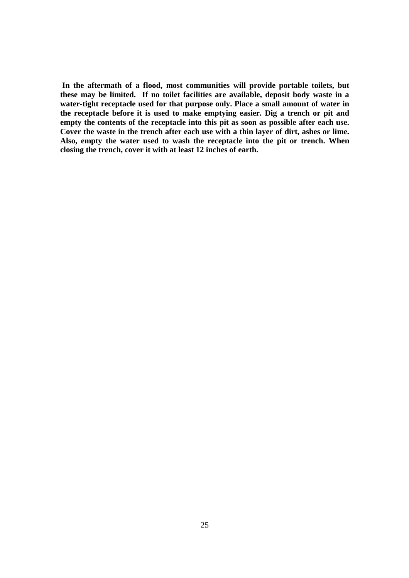**In the aftermath of a flood, most communities will provide portable toilets, but these may be limited. If no toilet facilities are available, deposit body waste in a water-tight receptacle used for that purpose only. Place a small amount of water in the receptacle before it is used to make emptying easier. Dig a trench or pit and empty the contents of the receptacle into this pit as soon as possible after each use. Cover the waste in the trench after each use with a thin layer of dirt, ashes or lime. Also, empty the water used to wash the receptacle into the pit or trench. When closing the trench, cover it with at least 12 inches of earth.**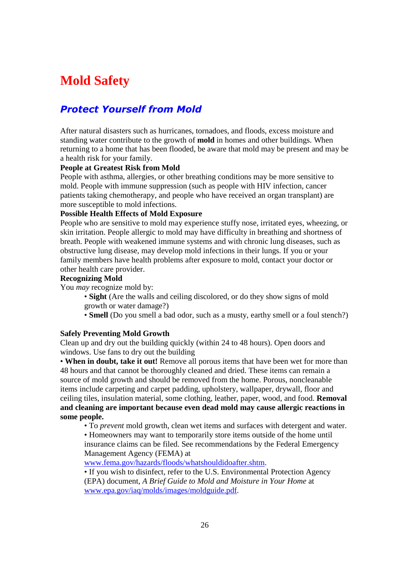# **Mold Safety**

# *Protect Yourself from Mold*

After natural disasters such as hurricanes, tornadoes, and floods, excess moisture and standing water contribute to the growth of **mold** in homes and other buildings. When returning to a home that has been flooded, be aware that mold may be present and may be a health risk for your family.

#### **People at Greatest Risk from Mold**

People with asthma, allergies, or other breathing conditions may be more sensitive to mold. People with immune suppression (such as people with HIV infection, cancer patients taking chemotherapy, and people who have received an organ transplant) are more susceptible to mold infections.

#### **Possible Health Effects of Mold Exposure**

People who are sensitive to mold may experience stuffy nose, irritated eyes, wheezing, or skin irritation. People allergic to mold may have difficulty in breathing and shortness of breath. People with weakened immune systems and with chronic lung diseases, such as obstructive lung disease, may develop mold infections in their lungs. If you or your family members have health problems after exposure to mold, contact your doctor or other health care provider.

#### **Recognizing Mold**

You *may* recognize mold by:

- **Sight** (Are the walls and ceiling discolored, or do they show signs of mold growth or water damage?)
- **Smell** (Do you smell a bad odor, such as a musty, earthy smell or a foul stench?)

#### **Safely Preventing Mold Growth**

Clean up and dry out the building quickly (within 24 to 48 hours). Open doors and windows. Use fans to dry out the building

• **When in doubt, take it out!** Remove all porous items that have been wet for more than 48 hours and that cannot be thoroughly cleaned and dried. These items can remain a source of mold growth and should be removed from the home. Porous, noncleanable items include carpeting and carpet padding, upholstery, wallpaper, drywall, floor and ceiling tiles, insulation material, some clothing, leather, paper, wood, and food. **Removal and cleaning are important because even dead mold may cause allergic reactions in some people.** 

• To *prevent* mold growth, clean wet items and surfaces with detergent and water. • Homeowners may want to temporarily store items outside of the home until insurance claims can be filed. See recommendations by the Federal Emergency Management Agency (FEMA) at

www.fema.gov/hazards/floods/whatshouldidoafter.shtm.

• If you wish to disinfect, refer to the U.S. Environmental Protection Agency (EPA) document, *A Brief Guide to Mold and Moisture in Your Home* at www.epa.gov/iaq/molds/images/moldguide.pdf.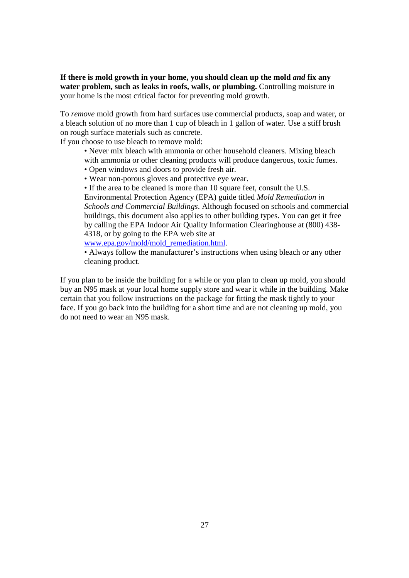**If there is mold growth in your home, you should clean up the mold** *and* **fix any water problem, such as leaks in roofs, walls, or plumbing.** Controlling moisture in your home is the most critical factor for preventing mold growth.

To *remove* mold growth from hard surfaces use commercial products, soap and water, or a bleach solution of no more than 1 cup of bleach in 1 gallon of water. Use a stiff brush on rough surface materials such as concrete.

If you choose to use bleach to remove mold:

- Never mix bleach with ammonia or other household cleaners. Mixing bleach with ammonia or other cleaning products will produce dangerous, toxic fumes.
- Open windows and doors to provide fresh air.
- Wear non-porous gloves and protective eye wear.
- If the area to be cleaned is more than 10 square feet, consult the U.S.

Environmental Protection Agency (EPA) guide titled *Mold Remediation in Schools and Commercial Buildings*. Although focused on schools and commercial buildings, this document also applies to other building types. You can get it free by calling the EPA Indoor Air Quality Information Clearinghouse at (800) 438- 4318, or by going to the EPA web site at

www.epa.gov/mold/mold\_remediation.html.

• Always follow the manufacturer's instructions when using bleach or any other cleaning product.

If you plan to be inside the building for a while or you plan to clean up mold, you should buy an N95 mask at your local home supply store and wear it while in the building. Make certain that you follow instructions on the package for fitting the mask tightly to your face. If you go back into the building for a short time and are not cleaning up mold, you do not need to wear an N95 mask.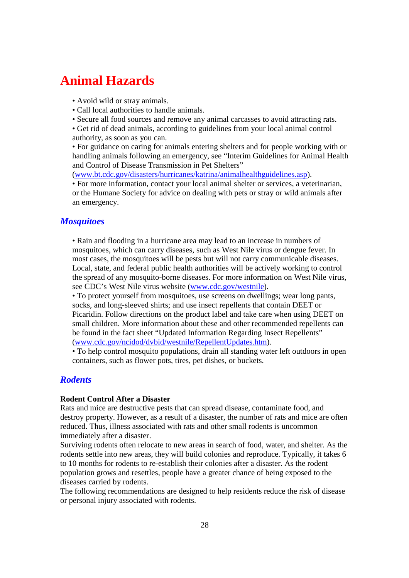# **Animal Hazards**

- Avoid wild or stray animals.
- Call local authorities to handle animals.
- Secure all food sources and remove any animal carcasses to avoid attracting rats.

• Get rid of dead animals, according to guidelines from your local animal control authority, as soon as you can.

• For guidance on caring for animals entering shelters and for people working with or handling animals following an emergency, see "Interim Guidelines for Animal Health and Control of Disease Transmission in Pet Shelters"

(www.bt.cdc.gov/disasters/hurricanes/katrina/animalhealthguidelines.asp).

• For more information, contact your local animal shelter or services, a veterinarian, or the Humane Society for advice on dealing with pets or stray or wild animals after an emergency.

#### *Mosquitoes*

• Rain and flooding in a hurricane area may lead to an increase in numbers of mosquitoes, which can carry diseases, such as West Nile virus or dengue fever. In most cases, the mosquitoes will be pests but will not carry communicable diseases. Local, state, and federal public health authorities will be actively working to control the spread of any mosquito-borne diseases. For more information on West Nile virus, see CDC's West Nile virus website (www.cdc.gov/westnile).

• To protect yourself from mosquitoes, use screens on dwellings; wear long pants, socks, and long-sleeved shirts; and use insect repellents that contain DEET or Picaridin. Follow directions on the product label and take care when using DEET on small children. More information about these and other recommended repellents can be found in the fact sheet "Updated Information Regarding Insect Repellents" (www.cdc.gov/ncidod/dvbid/westnile/RepellentUpdates.htm).

• To help control mosquito populations, drain all standing water left outdoors in open containers, such as flower pots, tires, pet dishes, or buckets.

#### *Rodents*

#### **Rodent Control After a Disaster**

Rats and mice are destructive pests that can spread disease, contaminate food, and destroy property. However, as a result of a disaster, the number of rats and mice are often reduced. Thus, illness associated with rats and other small rodents is uncommon immediately after a disaster.

Surviving rodents often relocate to new areas in search of food, water, and shelter. As the rodents settle into new areas, they will build colonies and reproduce. Typically, it takes 6 to 10 months for rodents to re-establish their colonies after a disaster. As the rodent population grows and resettles, people have a greater chance of being exposed to the diseases carried by rodents.

The following recommendations are designed to help residents reduce the risk of disease or personal injury associated with rodents.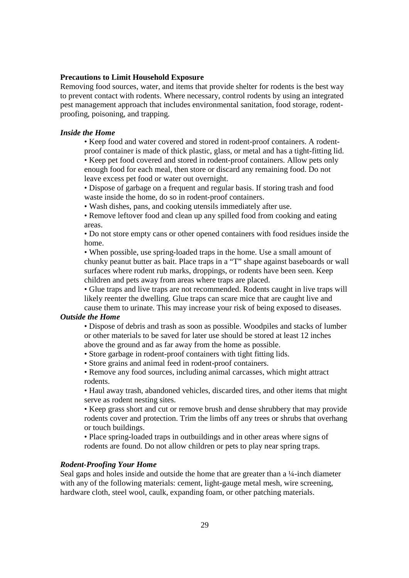#### **Precautions to Limit Household Exposure**

Removing food sources, water, and items that provide shelter for rodents is the best way to prevent contact with rodents. Where necessary, control rodents by using an integrated pest management approach that includes environmental sanitation, food storage, rodentproofing, poisoning, and trapping.

#### *Inside the Home*

• Keep food and water covered and stored in rodent-proof containers. A rodentproof container is made of thick plastic, glass, or metal and has a tight-fitting lid.

• Keep pet food covered and stored in rodent-proof containers. Allow pets only enough food for each meal, then store or discard any remaining food. Do not leave excess pet food or water out overnight.

• Dispose of garbage on a frequent and regular basis. If storing trash and food waste inside the home, do so in rodent-proof containers.

• Wash dishes, pans, and cooking utensils immediately after use.

• Remove leftover food and clean up any spilled food from cooking and eating areas.

• Do not store empty cans or other opened containers with food residues inside the home.

• When possible, use spring-loaded traps in the home. Use a small amount of chunky peanut butter as bait. Place traps in a "T" shape against baseboards or wall surfaces where rodent rub marks, droppings, or rodents have been seen. Keep children and pets away from areas where traps are placed.

• Glue traps and live traps are not recommended. Rodents caught in live traps will likely reenter the dwelling. Glue traps can scare mice that are caught live and cause them to urinate. This may increase your risk of being exposed to diseases.

## *Outside the Home*

• Dispose of debris and trash as soon as possible. Woodpiles and stacks of lumber or other materials to be saved for later use should be stored at least 12 inches above the ground and as far away from the home as possible.

• Store garbage in rodent-proof containers with tight fitting lids.

• Store grains and animal feed in rodent-proof containers.

• Remove any food sources, including animal carcasses, which might attract rodents.

• Haul away trash, abandoned vehicles, discarded tires, and other items that might serve as rodent nesting sites.

• Keep grass short and cut or remove brush and dense shrubbery that may provide rodents cover and protection. Trim the limbs off any trees or shrubs that overhang or touch buildings.

• Place spring-loaded traps in outbuildings and in other areas where signs of rodents are found. Do not allow children or pets to play near spring traps.

#### *Rodent-Proofing Your Home*

Seal gaps and holes inside and outside the home that are greater than a  $\frac{1}{4}$ -inch diameter with any of the following materials: cement, light-gauge metal mesh, wire screening, hardware cloth, steel wool, caulk, expanding foam, or other patching materials.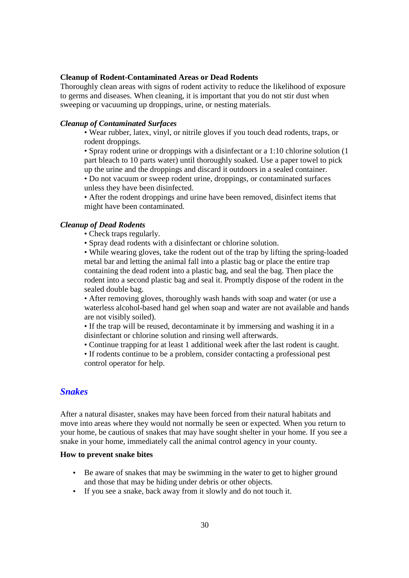#### **Cleanup of Rodent-Contaminated Areas or Dead Rodents**

Thoroughly clean areas with signs of rodent activity to reduce the likelihood of exposure to germs and diseases. When cleaning, it is important that you do not stir dust when sweeping or vacuuming up droppings, urine, or nesting materials.

#### *Cleanup of Contaminated Surfaces*

• Wear rubber, latex, vinyl, or nitrile gloves if you touch dead rodents, traps, or rodent droppings.

• Spray rodent urine or droppings with a disinfectant or a 1:10 chlorine solution (1 part bleach to 10 parts water) until thoroughly soaked. Use a paper towel to pick up the urine and the droppings and discard it outdoors in a sealed container.

• Do not vacuum or sweep rodent urine, droppings, or contaminated surfaces unless they have been disinfected.

• After the rodent droppings and urine have been removed, disinfect items that might have been contaminated.

#### *Cleanup of Dead Rodents*

- Check traps regularly.
- Spray dead rodents with a disinfectant or chlorine solution.

• While wearing gloves, take the rodent out of the trap by lifting the spring-loaded metal bar and letting the animal fall into a plastic bag or place the entire trap containing the dead rodent into a plastic bag, and seal the bag. Then place the rodent into a second plastic bag and seal it. Promptly dispose of the rodent in the sealed double bag.

• After removing gloves, thoroughly wash hands with soap and water (or use a waterless alcohol-based hand gel when soap and water are not available and hands are not visibly soiled).

• If the trap will be reused, decontaminate it by immersing and washing it in a disinfectant or chlorine solution and rinsing well afterwards.

• Continue trapping for at least 1 additional week after the last rodent is caught.

• If rodents continue to be a problem, consider contacting a professional pest control operator for help.

## *Snakes*

After a natural disaster, snakes may have been forced from their natural habitats and move into areas where they would not normally be seen or expected. When you return to your home, be cautious of snakes that may have sought shelter in your home. If you see a snake in your home, immediately call the animal control agency in your county.

#### **How to prevent snake bites**

- Be aware of snakes that may be swimming in the water to get to higher ground and those that may be hiding under debris or other objects.
- If you see a snake, back away from it slowly and do not touch it.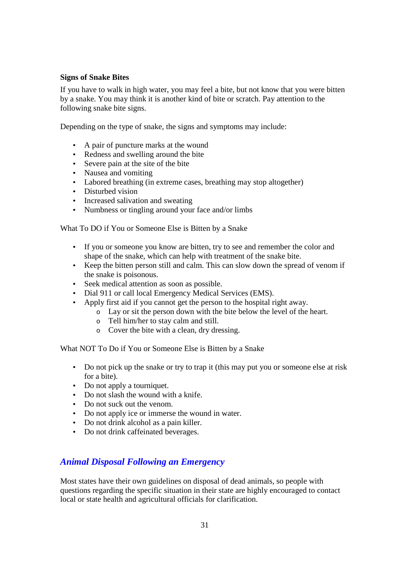#### **Signs of Snake Bites**

If you have to walk in high water, you may feel a bite, but not know that you were bitten by a snake. You may think it is another kind of bite or scratch. Pay attention to the following snake bite signs.

Depending on the type of snake, the signs and symptoms may include:

- A pair of puncture marks at the wound
- Redness and swelling around the bite
- Severe pain at the site of the bite
- Nausea and vomiting
- Labored breathing (in extreme cases, breathing may stop altogether)
- Disturbed vision
- Increased salivation and sweating
- Numbness or tingling around your face and/or limbs

What To DO if You or Someone Else is Bitten by a Snake

- If you or someone you know are bitten, try to see and remember the color and shape of the snake, which can help with treatment of the snake bite.
- Keep the bitten person still and calm. This can slow down the spread of venom if the snake is poisonous.
- Seek medical attention as soon as possible.
- Dial 911 or call local Emergency Medical Services (EMS).
- Apply first aid if you cannot get the person to the hospital right away.
	- o Lay or sit the person down with the bite below the level of the heart.
		- o Tell him/her to stay calm and still.
		- o Cover the bite with a clean, dry dressing.

What NOT To Do if You or Someone Else is Bitten by a Snake

- Do not pick up the snake or try to trap it (this may put you or someone else at risk for a bite).
- Do not apply a tourniquet.
- Do not slash the wound with a knife.
- Do not suck out the venom.
- Do not apply ice or immerse the wound in water.
- Do not drink alcohol as a pain killer.
- Do not drink caffeinated beverages.

## *Animal Disposal Following an Emergency*

Most states have their own guidelines on disposal of dead animals, so people with questions regarding the specific situation in their state are highly encouraged to contact local or state health and agricultural officials for clarification.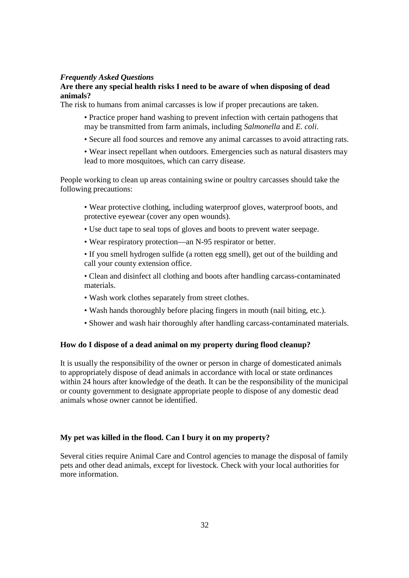#### *Frequently Asked Questions*

#### **Are there any special health risks I need to be aware of when disposing of dead animals?**

The risk to humans from animal carcasses is low if proper precautions are taken.

- Practice proper hand washing to prevent infection with certain pathogens that may be transmitted from farm animals, including *Salmonella* and *E. coli*.
- Secure all food sources and remove any animal carcasses to avoid attracting rats.
- Wear insect repellant when outdoors. Emergencies such as natural disasters may lead to more mosquitoes, which can carry disease.

People working to clean up areas containing swine or poultry carcasses should take the following precautions:

- Wear protective clothing, including waterproof gloves, waterproof boots, and protective eyewear (cover any open wounds).
- Use duct tape to seal tops of gloves and boots to prevent water seepage.
- Wear respiratory protection—an N-95 respirator or better.

• If you smell hydrogen sulfide (a rotten egg smell), get out of the building and call your county extension office.

- Clean and disinfect all clothing and boots after handling carcass-contaminated materials.
- Wash work clothes separately from street clothes.
- Wash hands thoroughly before placing fingers in mouth (nail biting, etc.).
- Shower and wash hair thoroughly after handling carcass-contaminated materials.

#### **How do I dispose of a dead animal on my property during flood cleanup?**

It is usually the responsibility of the owner or person in charge of domesticated animals to appropriately dispose of dead animals in accordance with local or state ordinances within 24 hours after knowledge of the death. It can be the responsibility of the municipal or county government to designate appropriate people to dispose of any domestic dead animals whose owner cannot be identified.

#### **My pet was killed in the flood. Can I bury it on my property?**

Several cities require Animal Care and Control agencies to manage the disposal of family pets and other dead animals, except for livestock. Check with your local authorities for more information.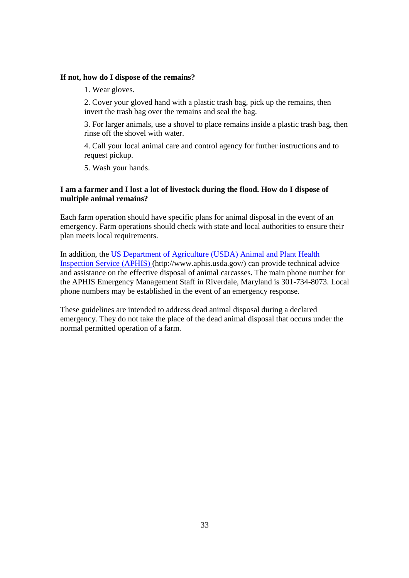#### **If not, how do I dispose of the remains?**

1. Wear gloves.

2. Cover your gloved hand with a plastic trash bag, pick up the remains, then invert the trash bag over the remains and seal the bag.

3. For larger animals, use a shovel to place remains inside a plastic trash bag, then rinse off the shovel with water.

4. Call your local animal care and control agency for further instructions and to request pickup.

5. Wash your hands.

#### **I am a farmer and I lost a lot of livestock during the flood. How do I dispose of multiple animal remains?**

Each farm operation should have specific plans for animal disposal in the event of an emergency. Farm operations should check with state and local authorities to ensure their plan meets local requirements.

In addition, the US Department of Agriculture (USDA) Animal and Plant Health Inspection Service (APHIS) (http://www.aphis.usda.gov/) can provide technical advice and assistance on the effective disposal of animal carcasses. The main phone number for the APHIS Emergency Management Staff in Riverdale, Maryland is 301-734-8073. Local phone numbers may be established in the event of an emergency response.

These guidelines are intended to address dead animal disposal during a declared emergency. They do not take the place of the dead animal disposal that occurs under the normal permitted operation of a farm.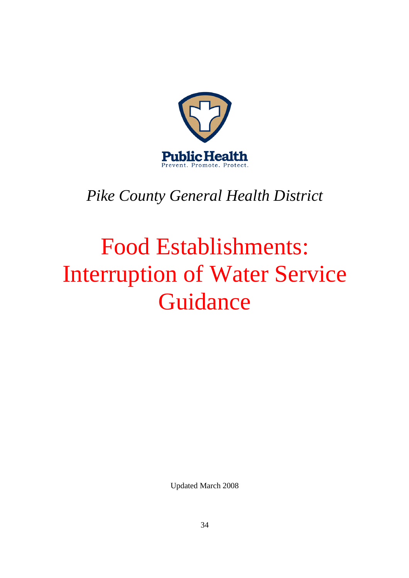

# *Pike County General Health District*

# Food Establishments: Interruption of Water Service Guidance

Updated March 2008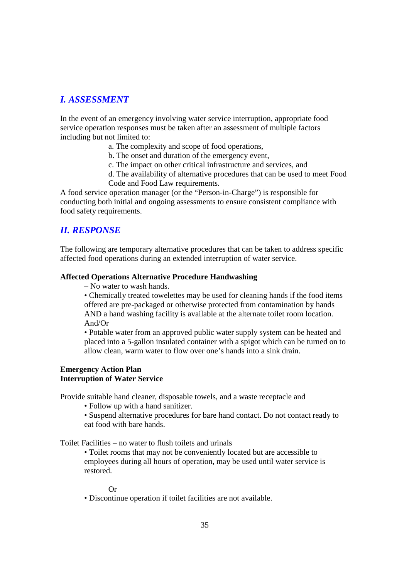## *I. ASSESSMENT*

In the event of an emergency involving water service interruption, appropriate food service operation responses must be taken after an assessment of multiple factors including but not limited to:

- a. The complexity and scope of food operations,
- b. The onset and duration of the emergency event,
- c. The impact on other critical infrastructure and services, and
- d. The availability of alternative procedures that can be used to meet Food Code and Food Law requirements.

A food service operation manager (or the "Person-in-Charge") is responsible for conducting both initial and ongoing assessments to ensure consistent compliance with food safety requirements.

## *II. RESPONSE*

The following are temporary alternative procedures that can be taken to address specific affected food operations during an extended interruption of water service.

#### **Affected Operations Alternative Procedure Handwashing**

– No water to wash hands.

• Chemically treated towelettes may be used for cleaning hands if the food items offered are pre-packaged or otherwise protected from contamination by hands AND a hand washing facility is available at the alternate toilet room location. And/Or

• Potable water from an approved public water supply system can be heated and placed into a 5-gallon insulated container with a spigot which can be turned on to allow clean, warm water to flow over one's hands into a sink drain.

#### **Emergency Action Plan Interruption of Water Service**

Provide suitable hand cleaner, disposable towels, and a waste receptacle and

• Follow up with a hand sanitizer.

• Suspend alternative procedures for bare hand contact. Do not contact ready to eat food with bare hands.

Toilet Facilities – no water to flush toilets and urinals

• Toilet rooms that may not be conveniently located but are accessible to employees during all hours of operation, may be used until water service is restored.

Or

• Discontinue operation if toilet facilities are not available.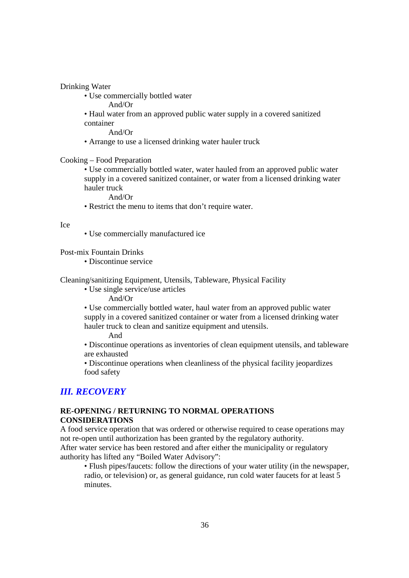#### Drinking Water

- Use commercially bottled water
	- And/Or

• Haul water from an approved public water supply in a covered sanitized container

And/Or

• Arrange to use a licensed drinking water hauler truck

#### Cooking – Food Preparation

• Use commercially bottled water, water hauled from an approved public water supply in a covered sanitized container, or water from a licensed drinking water hauler truck

And/Or

• Restrict the menu to items that don't require water.

#### Ice

• Use commercially manufactured ice

Post-mix Fountain Drinks

• Discontinue service

Cleaning/sanitizing Equipment, Utensils, Tableware, Physical Facility

• Use single service/use articles

And/Or

• Use commercially bottled water, haul water from an approved public water supply in a covered sanitized container or water from a licensed drinking water hauler truck to clean and sanitize equipment and utensils.

And

• Discontinue operations as inventories of clean equipment utensils, and tableware are exhausted

• Discontinue operations when cleanliness of the physical facility jeopardizes food safety

## *III. RECOVERY*

#### **RE-OPENING / RETURNING TO NORMAL OPERATIONS CONSIDERATIONS**

A food service operation that was ordered or otherwise required to cease operations may not re-open until authorization has been granted by the regulatory authority. After water service has been restored and after either the municipality or regulatory authority has lifted any "Boiled Water Advisory":

• Flush pipes/faucets: follow the directions of your water utility (in the newspaper, radio, or television) or, as general guidance, run cold water faucets for at least 5 minutes.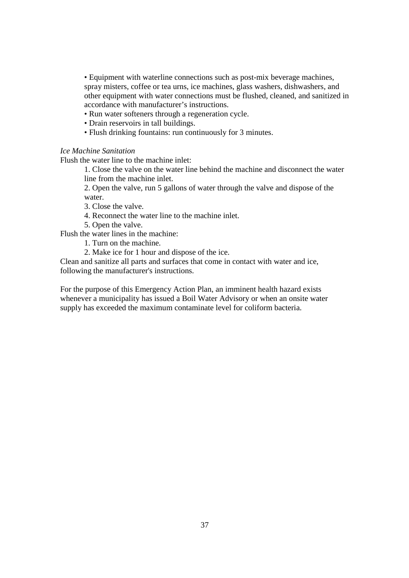• Equipment with waterline connections such as post-mix beverage machines, spray misters, coffee or tea urns, ice machines, glass washers, dishwashers, and other equipment with water connections must be flushed, cleaned, and sanitized in accordance with manufacturer's instructions.

- Run water softeners through a regeneration cycle.
- Drain reservoirs in tall buildings.
- Flush drinking fountains: run continuously for 3 minutes.

#### *Ice Machine Sanitation*

Flush the water line to the machine inlet:

1. Close the valve on the water line behind the machine and disconnect the water line from the machine inlet.

2. Open the valve, run 5 gallons of water through the valve and dispose of the water.

- 3. Close the valve.
- 4. Reconnect the water line to the machine inlet.
- 5. Open the valve.

Flush the water lines in the machine:

1. Turn on the machine.

2. Make ice for 1 hour and dispose of the ice.

Clean and sanitize all parts and surfaces that come in contact with water and ice, following the manufacturer's instructions.

For the purpose of this Emergency Action Plan, an imminent health hazard exists whenever a municipality has issued a Boil Water Advisory or when an onsite water supply has exceeded the maximum contaminate level for coliform bacteria.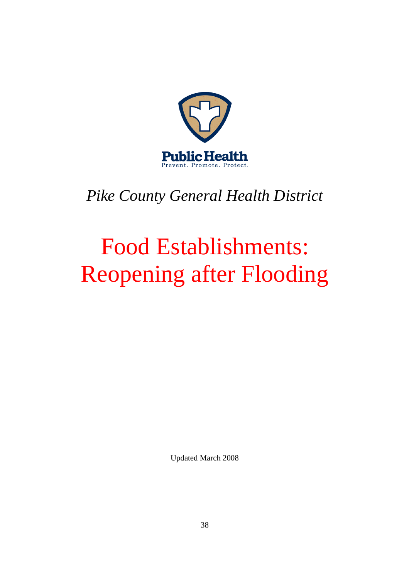

# *Pike County General Health District*

# Food Establishments: Reopening after Flooding

Updated March 2008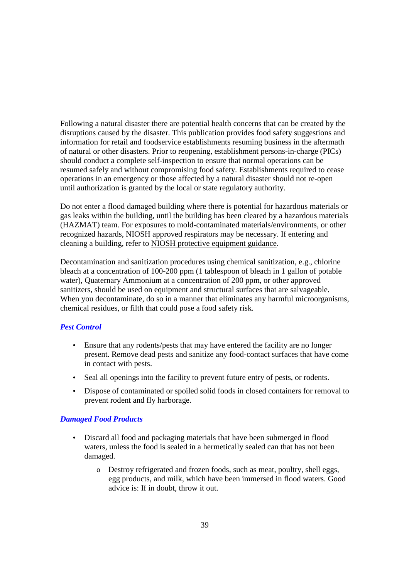Following a natural disaster there are potential health concerns that can be created by the disruptions caused by the disaster. This publication provides food safety suggestions and information for retail and foodservice establishments resuming business in the aftermath of natural or other disasters. Prior to reopening, establishment persons-in-charge (PICs) should conduct a complete self-inspection to ensure that normal operations can be resumed safely and without compromising food safety. Establishments required to cease operations in an emergency or those affected by a natural disaster should not re-open until authorization is granted by the local or state regulatory authority.

Do not enter a flood damaged building where there is potential for hazardous materials or gas leaks within the building, until the building has been cleared by a hazardous materials (HAZMAT) team. For exposures to mold-contaminated materials/environments, or other recognized hazards, NIOSH approved respirators may be necessary. If entering and cleaning a building, refer to NIOSH protective equipment guidance.

Decontamination and sanitization procedures using chemical sanitization, e.g., chlorine bleach at a concentration of 100-200 ppm (1 tablespoon of bleach in 1 gallon of potable water), Quaternary Ammonium at a concentration of 200 ppm, or other approved sanitizers, should be used on equipment and structural surfaces that are salvageable. When you decontaminate, do so in a manner that eliminates any harmful microorganisms, chemical residues, or filth that could pose a food safety risk.

#### *Pest Control*

- Ensure that any rodents/pests that may have entered the facility are no longer present. Remove dead pests and sanitize any food-contact surfaces that have come in contact with pests.
- Seal all openings into the facility to prevent future entry of pests, or rodents.
- Dispose of contaminated or spoiled solid foods in closed containers for removal to prevent rodent and fly harborage.

#### *Damaged Food Products*

- Discard all food and packaging materials that have been submerged in flood waters, unless the food is sealed in a hermetically sealed can that has not been damaged.
	- o Destroy refrigerated and frozen foods, such as meat, poultry, shell eggs, egg products, and milk, which have been immersed in flood waters. Good advice is: If in doubt, throw it out.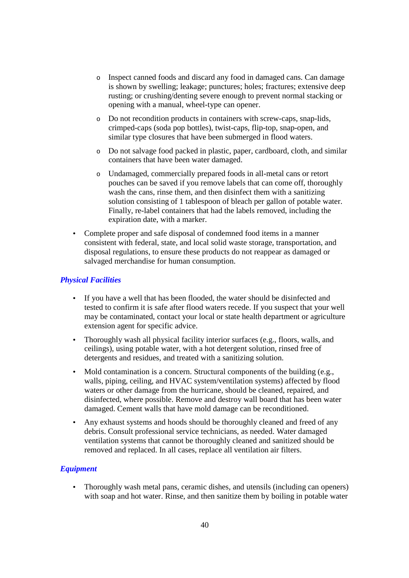- o Inspect canned foods and discard any food in damaged cans. Can damage is shown by swelling; leakage; punctures; holes; fractures; extensive deep rusting; or crushing/denting severe enough to prevent normal stacking or opening with a manual, wheel-type can opener.
- o Do not recondition products in containers with screw-caps, snap-lids, crimped-caps (soda pop bottles), twist-caps, flip-top, snap-open, and similar type closures that have been submerged in flood waters.
- o Do not salvage food packed in plastic, paper, cardboard, cloth, and similar containers that have been water damaged.
- o Undamaged, commercially prepared foods in all-metal cans or retort pouches can be saved if you remove labels that can come off, thoroughly wash the cans, rinse them, and then disinfect them with a sanitizing solution consisting of 1 tablespoon of bleach per gallon of potable water. Finally, re-label containers that had the labels removed, including the expiration date, with a marker.
- Complete proper and safe disposal of condemned food items in a manner consistent with federal, state, and local solid waste storage, transportation, and disposal regulations, to ensure these products do not reappear as damaged or salvaged merchandise for human consumption.

#### *Physical Facilities*

- If you have a well that has been flooded, the water should be disinfected and tested to confirm it is safe after flood waters recede. If you suspect that your well may be contaminated, contact your local or state health department or agriculture extension agent for specific advice.
- Thoroughly wash all physical facility interior surfaces (e.g., floors, walls, and ceilings), using potable water, with a hot detergent solution, rinsed free of detergents and residues, and treated with a sanitizing solution.
- Mold contamination is a concern. Structural components of the building (e.g., walls, piping, ceiling, and HVAC system/ventilation systems) affected by flood waters or other damage from the hurricane, should be cleaned, repaired, and disinfected, where possible. Remove and destroy wall board that has been water damaged. Cement walls that have mold damage can be reconditioned.
- Any exhaust systems and hoods should be thoroughly cleaned and freed of any debris. Consult professional service technicians, as needed. Water damaged ventilation systems that cannot be thoroughly cleaned and sanitized should be removed and replaced. In all cases, replace all ventilation air filters.

#### *Equipment*

• Thoroughly wash metal pans, ceramic dishes, and utensils (including can openers) with soap and hot water. Rinse, and then sanitize them by boiling in potable water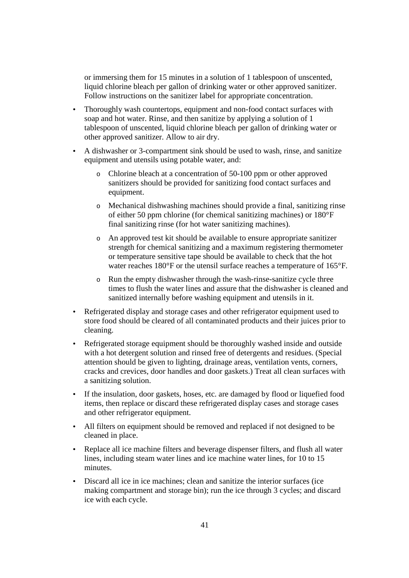or immersing them for 15 minutes in a solution of 1 tablespoon of unscented, liquid chlorine bleach per gallon of drinking water or other approved sanitizer. Follow instructions on the sanitizer label for appropriate concentration.

- Thoroughly wash countertops, equipment and non-food contact surfaces with soap and hot water. Rinse, and then sanitize by applying a solution of 1 tablespoon of unscented, liquid chlorine bleach per gallon of drinking water or other approved sanitizer. Allow to air dry.
- A dishwasher or 3-compartment sink should be used to wash, rinse, and sanitize equipment and utensils using potable water, and:
	- o Chlorine bleach at a concentration of 50-100 ppm or other approved sanitizers should be provided for sanitizing food contact surfaces and equipment.
	- o Mechanical dishwashing machines should provide a final, sanitizing rinse of either 50 ppm chlorine (for chemical sanitizing machines) or 180°F final sanitizing rinse (for hot water sanitizing machines).
	- o An approved test kit should be available to ensure appropriate sanitizer strength for chemical sanitizing and a maximum registering thermometer or temperature sensitive tape should be available to check that the hot water reaches 180°F or the utensil surface reaches a temperature of 165°F.
	- o Run the empty dishwasher through the wash-rinse-sanitize cycle three times to flush the water lines and assure that the dishwasher is cleaned and sanitized internally before washing equipment and utensils in it.
- Refrigerated display and storage cases and other refrigerator equipment used to store food should be cleared of all contaminated products and their juices prior to cleaning.
- Refrigerated storage equipment should be thoroughly washed inside and outside with a hot detergent solution and rinsed free of detergents and residues. (Special attention should be given to lighting, drainage areas, ventilation vents, corners, cracks and crevices, door handles and door gaskets.) Treat all clean surfaces with a sanitizing solution.
- If the insulation, door gaskets, hoses, etc. are damaged by flood or liquefied food items, then replace or discard these refrigerated display cases and storage cases and other refrigerator equipment.
- All filters on equipment should be removed and replaced if not designed to be cleaned in place.
- Replace all ice machine filters and beverage dispenser filters, and flush all water lines, including steam water lines and ice machine water lines, for 10 to 15 minutes.
- Discard all ice in ice machines; clean and sanitize the interior surfaces (ice making compartment and storage bin); run the ice through 3 cycles; and discard ice with each cycle.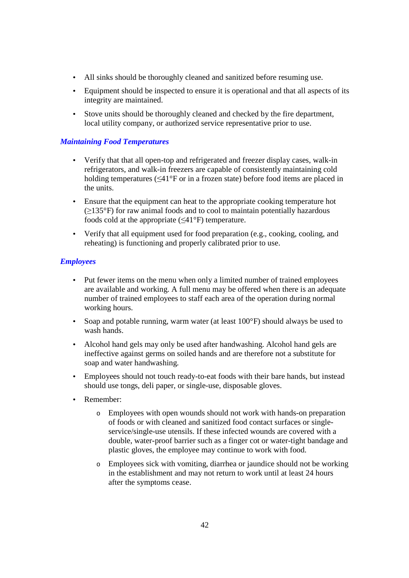- All sinks should be thoroughly cleaned and sanitized before resuming use.
- Equipment should be inspected to ensure it is operational and that all aspects of its integrity are maintained.
- Stove units should be thoroughly cleaned and checked by the fire department, local utility company, or authorized service representative prior to use.

#### *Maintaining Food Temperatures*

- Verify that that all open-top and refrigerated and freezer display cases, walk-in refrigerators, and walk-in freezers are capable of consistently maintaining cold holding temperatures (≤41°F or in a frozen state) before food items are placed in the units.
- Ensure that the equipment can heat to the appropriate cooking temperature hot  $(\geq 135^{\circ}F)$  for raw animal foods and to cool to maintain potentially hazardous foods cold at the appropriate  $(\leq 41^{\circ}F)$  temperature.
- Verify that all equipment used for food preparation (e.g., cooking, cooling, and reheating) is functioning and properly calibrated prior to use.

#### *Employees*

- Put fewer items on the menu when only a limited number of trained employees are available and working. A full menu may be offered when there is an adequate number of trained employees to staff each area of the operation during normal working hours.
- Soap and potable running, warm water (at least  $100^{\circ}$ F) should always be used to wash hands.
- Alcohol hand gels may only be used after handwashing. Alcohol hand gels are ineffective against germs on soiled hands and are therefore not a substitute for soap and water handwashing.
- Employees should not touch ready-to-eat foods with their bare hands, but instead should use tongs, deli paper, or single-use, disposable gloves.
- Remember:
	- o Employees with open wounds should not work with hands-on preparation of foods or with cleaned and sanitized food contact surfaces or singleservice/single-use utensils. If these infected wounds are covered with a double, water-proof barrier such as a finger cot or water-tight bandage and plastic gloves, the employee may continue to work with food.
	- o Employees sick with vomiting, diarrhea or jaundice should not be working in the establishment and may not return to work until at least 24 hours after the symptoms cease.